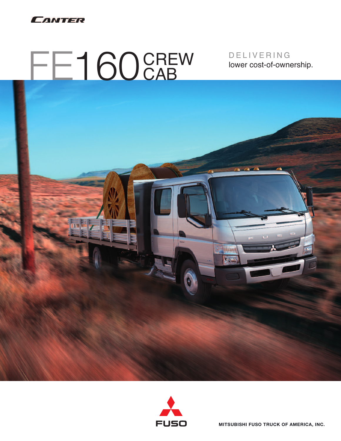

# FE160 CREW

D E L I V E R I N G lower cost-of-ownership.